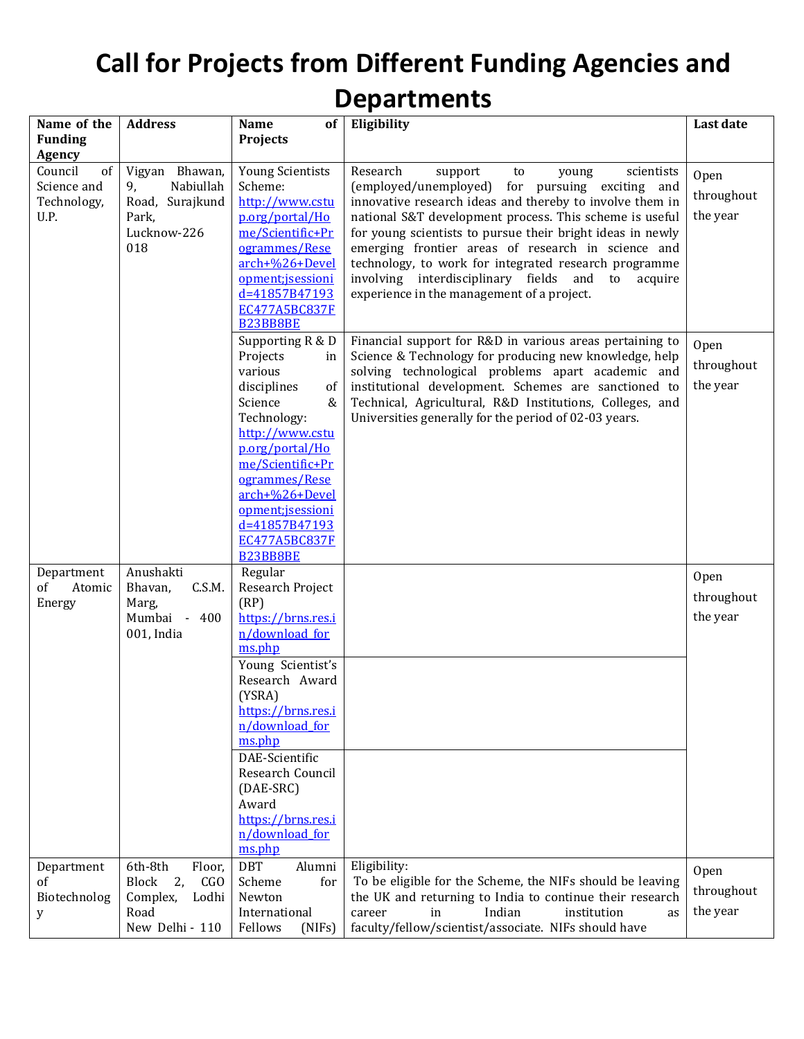## **Call for Projects from Different Funding Agencies and Departments**

| Name of the             | <b>Address</b>        | Name<br>of                         | Eligibility                                                                                                      | Last date  |
|-------------------------|-----------------------|------------------------------------|------------------------------------------------------------------------------------------------------------------|------------|
| <b>Funding</b>          |                       | <b>Projects</b>                    |                                                                                                                  |            |
| <b>Agency</b>           |                       |                                    |                                                                                                                  |            |
| Council<br>of           | Vigyan Bhawan,        | <b>Young Scientists</b>            | Research<br>support<br>scientists<br>young<br>to                                                                 | Open       |
| Science and             | 9,<br>Nabiullah       | Scheme:                            | (employed/unemployed) for pursuing exciting and                                                                  | throughout |
| Technology,             | Road, Surajkund       | http://www.cstu                    | innovative research ideas and thereby to involve them in                                                         |            |
| U.P.                    | Park,                 | p.org/portal/Ho                    | national S&T development process. This scheme is useful                                                          | the year   |
|                         | Lucknow-226<br>018    | me/Scientific+Pr<br>ogrammes/Rese  | for young scientists to pursue their bright ideas in newly<br>emerging frontier areas of research in science and |            |
|                         |                       | arch+%26+Devel                     | technology, to work for integrated research programme                                                            |            |
|                         |                       | opment;jsessioni                   | involving interdisciplinary fields and to<br>acquire                                                             |            |
|                         |                       | d=41857B47193                      | experience in the management of a project.                                                                       |            |
|                         |                       | EC477A5BC837F                      |                                                                                                                  |            |
|                         |                       | <b>B23BB8BE</b>                    |                                                                                                                  |            |
|                         |                       | Supporting R & D                   | Financial support for R&D in various areas pertaining to                                                         | Open       |
|                         |                       | Projects<br>in                     | Science & Technology for producing new knowledge, help                                                           | throughout |
|                         |                       | various                            | solving technological problems apart academic and                                                                |            |
|                         |                       | disciplines<br>of                  | institutional development. Schemes are sanctioned to                                                             | the year   |
|                         |                       | Science<br>&                       | Technical, Agricultural, R&D Institutions, Colleges, and                                                         |            |
|                         |                       | Technology:                        | Universities generally for the period of 02-03 years.                                                            |            |
|                         |                       | http://www.cstu<br>p.org/portal/Ho |                                                                                                                  |            |
|                         |                       | me/Scientific+Pr                   |                                                                                                                  |            |
|                         |                       | ogrammes/Rese                      |                                                                                                                  |            |
|                         |                       | arch+%26+Devel                     |                                                                                                                  |            |
|                         |                       | opment; is essioni                 |                                                                                                                  |            |
|                         |                       | d=41857B47193                      |                                                                                                                  |            |
|                         |                       | <b>EC477A5BC837F</b>               |                                                                                                                  |            |
|                         |                       | <b>B23BB8BE</b>                    |                                                                                                                  |            |
| Department              | Anushakti             | Regular                            |                                                                                                                  | Open       |
| Atomic<br><sub>of</sub> | Bhavan,<br>C.S.M.     | Research Project                   |                                                                                                                  | throughout |
| Energy                  | Marg,<br>Mumbai - 400 | (RP)<br>https://brns.res.i         |                                                                                                                  | the year   |
|                         | 001, India            | n/download_for                     |                                                                                                                  |            |
|                         |                       | ms.php                             |                                                                                                                  |            |
|                         |                       | Young Scientist's                  |                                                                                                                  |            |
|                         |                       | Research Award                     |                                                                                                                  |            |
|                         |                       | (YSRA)                             |                                                                                                                  |            |
|                         |                       | https://brns.res.i                 |                                                                                                                  |            |
|                         |                       | n/download for                     |                                                                                                                  |            |
|                         |                       | ms.php                             |                                                                                                                  |            |
|                         |                       | DAE-Scientific                     |                                                                                                                  |            |
|                         |                       | Research Council                   |                                                                                                                  |            |
|                         |                       | (DAE-SRC)                          |                                                                                                                  |            |
|                         |                       | Award<br>https://brns.res.i        |                                                                                                                  |            |
|                         |                       | n/download for                     |                                                                                                                  |            |
|                         |                       | ms.php                             |                                                                                                                  |            |
| Department              | 6th-8th<br>Floor,     | <b>DBT</b><br>Alumni               | Eligibility:                                                                                                     |            |
| of                      | 2,<br>Block<br>CGO    | Scheme<br>for                      | To be eligible for the Scheme, the NIFs should be leaving                                                        | Open       |
| Biotechnolog            | Complex,<br>Lodhi     | Newton                             | the UK and returning to India to continue their research                                                         | throughout |
| у                       | Road                  | International                      | Indian<br>in<br>institution<br>career<br>as                                                                      | the year   |
|                         | New Delhi - 110       | Fellows<br>(NIFs)                  | faculty/fellow/scientist/associate. NIFs should have                                                             |            |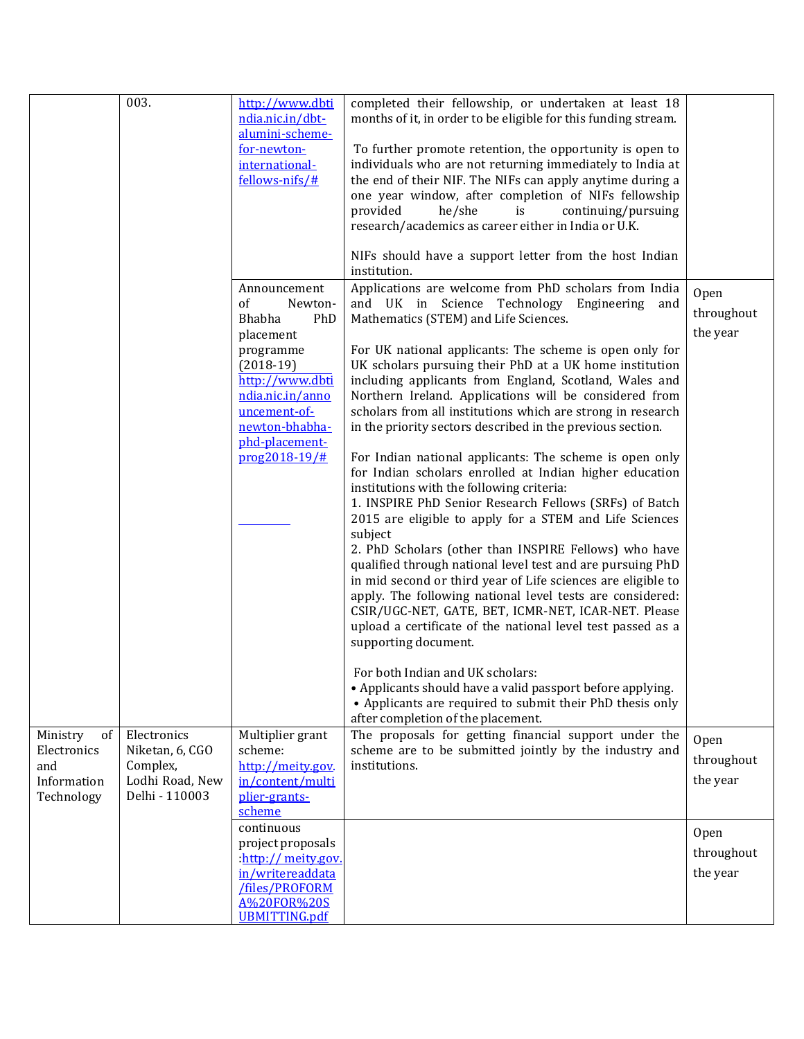|                                                                   | 003.                                                                            | http://www.dbti<br>ndia.nic.in/dbt-<br>alumini-scheme-<br>for-newton-<br>international-<br>fellows-nifs/#<br>Announcement<br>of<br>Newton-<br><b>Bhabha</b><br>PhD<br>placement<br>programme<br>$(2018-19)$<br>http://www.dbti<br>ndia.nic.in/anno<br>uncement-of-<br>newton-bhabha-<br>phd-placement-<br>prog2018-19/# | completed their fellowship, or undertaken at least 18<br>months of it, in order to be eligible for this funding stream.<br>To further promote retention, the opportunity is open to<br>individuals who are not returning immediately to India at<br>the end of their NIF. The NIFs can apply anytime during a<br>one year window, after completion of NIFs fellowship<br>provided<br>he/she<br>is<br>continuing/pursuing<br>research/academics as career either in India or U.K.<br>NIFs should have a support letter from the host Indian<br>institution.<br>Applications are welcome from PhD scholars from India<br>and UK in Science Technology Engineering and<br>Mathematics (STEM) and Life Sciences.<br>For UK national applicants: The scheme is open only for<br>UK scholars pursuing their PhD at a UK home institution<br>including applicants from England, Scotland, Wales and<br>Northern Ireland. Applications will be considered from<br>scholars from all institutions which are strong in research<br>in the priority sectors described in the previous section.<br>For Indian national applicants: The scheme is open only<br>for Indian scholars enrolled at Indian higher education<br>institutions with the following criteria:<br>1. INSPIRE PhD Senior Research Fellows (SRFs) of Batch<br>2015 are eligible to apply for a STEM and Life Sciences<br>subject<br>2. PhD Scholars (other than INSPIRE Fellows) who have<br>qualified through national level test and are pursuing PhD<br>in mid second or third year of Life sciences are eligible to<br>apply. The following national level tests are considered:<br>CSIR/UGC-NET, GATE, BET, ICMR-NET, ICAR-NET. Please<br>upload a certificate of the national level test passed as a<br>supporting document.<br>For both Indian and UK scholars:<br>• Applicants should have a valid passport before applying.<br>• Applicants are required to submit their PhD thesis only<br>after completion of the placement. | Open<br>throughout<br>the year |
|-------------------------------------------------------------------|---------------------------------------------------------------------------------|-------------------------------------------------------------------------------------------------------------------------------------------------------------------------------------------------------------------------------------------------------------------------------------------------------------------------|-----------------------------------------------------------------------------------------------------------------------------------------------------------------------------------------------------------------------------------------------------------------------------------------------------------------------------------------------------------------------------------------------------------------------------------------------------------------------------------------------------------------------------------------------------------------------------------------------------------------------------------------------------------------------------------------------------------------------------------------------------------------------------------------------------------------------------------------------------------------------------------------------------------------------------------------------------------------------------------------------------------------------------------------------------------------------------------------------------------------------------------------------------------------------------------------------------------------------------------------------------------------------------------------------------------------------------------------------------------------------------------------------------------------------------------------------------------------------------------------------------------------------------------------------------------------------------------------------------------------------------------------------------------------------------------------------------------------------------------------------------------------------------------------------------------------------------------------------------------------------------------------------------------------------------------------------------------------------------------------------|--------------------------------|
| Ministry<br>of<br>Electronics<br>and<br>Information<br>Technology | Electronics<br>Niketan, 6, CGO<br>Complex,<br>Lodhi Road, New<br>Delhi - 110003 | Multiplier grant<br>scheme:<br>http://meity.gov.<br>in/content/multi<br>plier-grants-<br>scheme                                                                                                                                                                                                                         | The proposals for getting financial support under the<br>scheme are to be submitted jointly by the industry and<br>institutions.                                                                                                                                                                                                                                                                                                                                                                                                                                                                                                                                                                                                                                                                                                                                                                                                                                                                                                                                                                                                                                                                                                                                                                                                                                                                                                                                                                                                                                                                                                                                                                                                                                                                                                                                                                                                                                                              | Open<br>throughout<br>the year |
|                                                                   |                                                                                 | continuous<br>project proposals<br>:http://meity.gov.<br>in/writereaddata<br>/files/PROFORM<br>A%20FOR%20S<br><b>UBMITTING.pdf</b>                                                                                                                                                                                      |                                                                                                                                                                                                                                                                                                                                                                                                                                                                                                                                                                                                                                                                                                                                                                                                                                                                                                                                                                                                                                                                                                                                                                                                                                                                                                                                                                                                                                                                                                                                                                                                                                                                                                                                                                                                                                                                                                                                                                                               | Open<br>throughout<br>the year |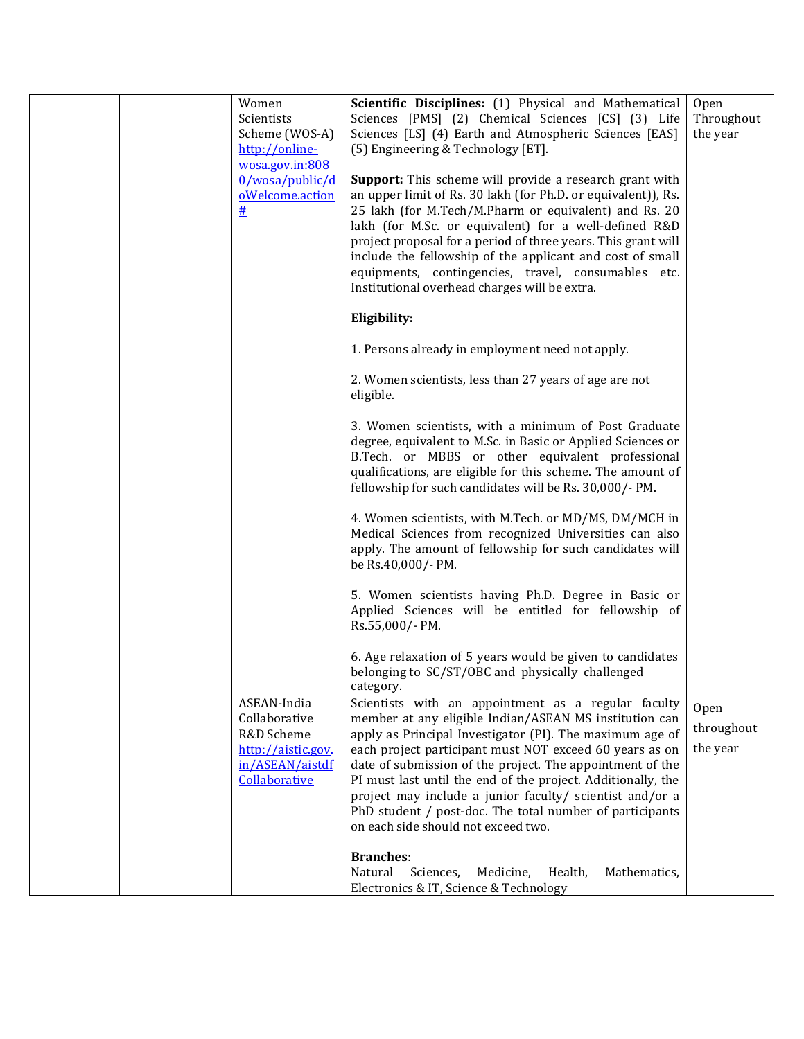|  | Women<br>Scientists<br>Scheme (WOS-A)                                                                | Scientific Disciplines: (1) Physical and Mathematical<br>Sciences [PMS] (2) Chemical Sciences [CS] (3) Life<br>Sciences [LS] (4) Earth and Atmospheric Sciences [EAS]                                                                                                                                                                                                                                                                                                                                                            | Open<br>Throughout<br>the year |
|--|------------------------------------------------------------------------------------------------------|----------------------------------------------------------------------------------------------------------------------------------------------------------------------------------------------------------------------------------------------------------------------------------------------------------------------------------------------------------------------------------------------------------------------------------------------------------------------------------------------------------------------------------|--------------------------------|
|  | http://online-<br>wosa.gov.in:808                                                                    | (5) Engineering & Technology [ET].                                                                                                                                                                                                                                                                                                                                                                                                                                                                                               |                                |
|  | 0/wosa/public/d<br>oWelcome.action<br>#                                                              | <b>Support:</b> This scheme will provide a research grant with<br>an upper limit of Rs. 30 lakh (for Ph.D. or equivalent)), Rs.<br>25 lakh (for M.Tech/M.Pharm or equivalent) and Rs. 20<br>lakh (for M.Sc. or equivalent) for a well-defined R&D<br>project proposal for a period of three years. This grant will<br>include the fellowship of the applicant and cost of small<br>equipments, contingencies, travel, consumables etc.<br>Institutional overhead charges will be extra.                                          |                                |
|  |                                                                                                      | Eligibility:                                                                                                                                                                                                                                                                                                                                                                                                                                                                                                                     |                                |
|  |                                                                                                      | 1. Persons already in employment need not apply.                                                                                                                                                                                                                                                                                                                                                                                                                                                                                 |                                |
|  |                                                                                                      | 2. Women scientists, less than 27 years of age are not<br>eligible.                                                                                                                                                                                                                                                                                                                                                                                                                                                              |                                |
|  |                                                                                                      | 3. Women scientists, with a minimum of Post Graduate<br>degree, equivalent to M.Sc. in Basic or Applied Sciences or<br>B.Tech. or MBBS or other equivalent professional<br>qualifications, are eligible for this scheme. The amount of<br>fellowship for such candidates will be Rs. 30,000/- PM.                                                                                                                                                                                                                                |                                |
|  |                                                                                                      | 4. Women scientists, with M.Tech. or MD/MS, DM/MCH in<br>Medical Sciences from recognized Universities can also<br>apply. The amount of fellowship for such candidates will<br>be Rs.40,000/- PM.                                                                                                                                                                                                                                                                                                                                |                                |
|  |                                                                                                      | 5. Women scientists having Ph.D. Degree in Basic or<br>Applied Sciences will be entitled for fellowship of<br>Rs.55,000/- PM.                                                                                                                                                                                                                                                                                                                                                                                                    |                                |
|  |                                                                                                      | 6. Age relaxation of 5 years would be given to candidates<br>belonging to SC/ST/OBC and physically challenged<br>category.                                                                                                                                                                                                                                                                                                                                                                                                       |                                |
|  | ASEAN-India<br>Collaborative<br>R&D Scheme<br>http://aistic.gov.<br>in/ASEAN/aistdf<br>Collaborative | Scientists with an appointment as a regular faculty<br>member at any eligible Indian/ASEAN MS institution can<br>apply as Principal Investigator (PI). The maximum age of<br>each project participant must NOT exceed 60 years as on<br>date of submission of the project. The appointment of the<br>PI must last until the end of the project. Additionally, the<br>project may include a junior faculty/ scientist and/or a<br>PhD student / post-doc. The total number of participants<br>on each side should not exceed two. | Open<br>throughout<br>the year |
|  |                                                                                                      | <b>Branches:</b><br>Natural<br>Sciences,<br>Health,<br>Mathematics,<br>Medicine,<br>Electronics & IT, Science & Technology                                                                                                                                                                                                                                                                                                                                                                                                       |                                |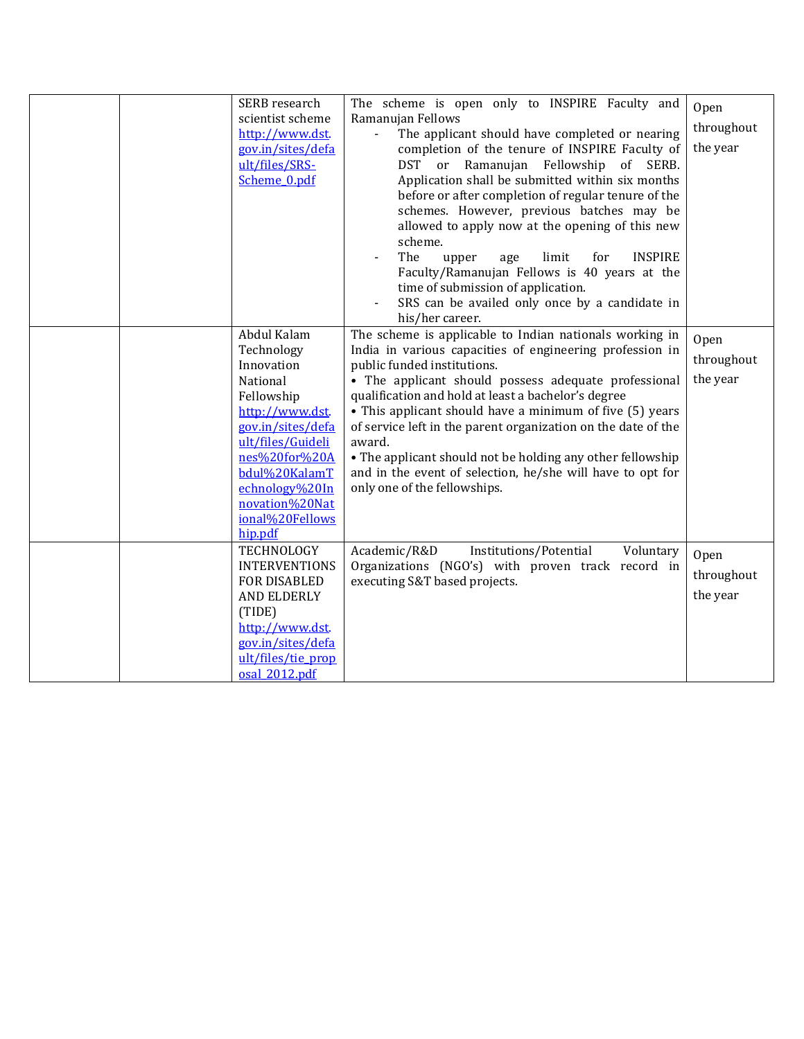| SERB research<br>scientist scheme<br>http://www.dst.<br>gov.in/sites/defa<br>ult/files/SRS-<br>Scheme 0.pdf                                                                                                                        | The scheme is open only to INSPIRE Faculty and<br>Ramanujan Fellows<br>The applicant should have completed or nearing<br>completion of the tenure of INSPIRE Faculty of<br>DST or Ramanujan Fellowship<br>of SERB.<br>Application shall be submitted within six months<br>before or after completion of regular tenure of the<br>schemes. However, previous batches may be<br>allowed to apply now at the opening of this new<br>scheme.<br>The<br>limit<br>for<br><b>INSPIRE</b><br>upper<br>age<br>Faculty/Ramanujan Fellows is 40 years at the<br>time of submission of application.<br>SRS can be availed only once by a candidate in<br>his/her career. | Open<br>throughout<br>the year |
|------------------------------------------------------------------------------------------------------------------------------------------------------------------------------------------------------------------------------------|--------------------------------------------------------------------------------------------------------------------------------------------------------------------------------------------------------------------------------------------------------------------------------------------------------------------------------------------------------------------------------------------------------------------------------------------------------------------------------------------------------------------------------------------------------------------------------------------------------------------------------------------------------------|--------------------------------|
| Abdul Kalam<br>Technology<br>Innovation<br>National<br>Fellowship<br>http://www.dst.<br>gov.in/sites/defa<br>ult/files/Guideli<br>nes%20for%20A<br>bdul%20KalamT<br>echnology%20In<br>novation%20Nat<br>ional%20Fellows<br>hip.pdf | The scheme is applicable to Indian nationals working in<br>India in various capacities of engineering profession in<br>public funded institutions.<br>• The applicant should possess adequate professional<br>qualification and hold at least a bachelor's degree<br>• This applicant should have a minimum of five (5) years<br>of service left in the parent organization on the date of the<br>award.<br>• The applicant should not be holding any other fellowship<br>and in the event of selection, he/she will have to opt for<br>only one of the fellowships.                                                                                         | Open<br>throughout<br>the year |
| TECHNOLOGY<br><b>INTERVENTIONS</b><br>FOR DISABLED<br><b>AND ELDERLY</b><br>(TIDE)<br>http://www.dst.<br>gov.in/sites/defa<br>ult/files/tie_prop<br>osal 2012.pdf                                                                  | Institutions/Potential<br>Academic/R&D<br>Voluntary<br>Organizations (NGO's) with proven track record in<br>executing S&T based projects.                                                                                                                                                                                                                                                                                                                                                                                                                                                                                                                    | Open<br>throughout<br>the year |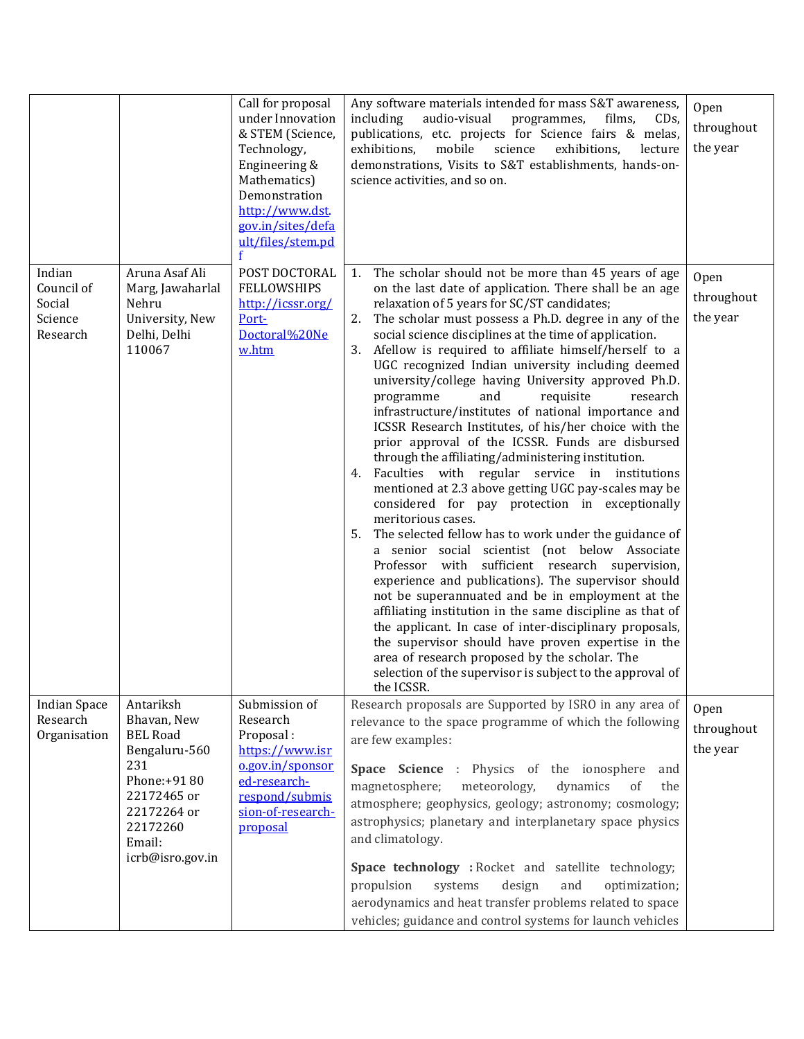|                                                       |                                                                                                                                                            | Call for proposal<br>under Innovation<br>& STEM (Science,<br>Technology,<br>Engineering &<br>Mathematics)<br>Demonstration<br>http://www.dst.<br>gov.in/sites/defa<br>ult/files/stem.pd | Any software materials intended for mass S&T awareness,<br>audio-visual<br>including<br>programmes,<br>films,<br>CD <sub>s</sub><br>publications, etc. projects for Science fairs & melas,<br>mobile<br>exhibitions,<br>science<br>exhibitions,<br>lecture<br>demonstrations, Visits to S&T establishments, hands-on-<br>science activities, and so on.                                                                                                                                                                                                                                                                                                                                                                                                                                                                                                                                                                                                                                                                                                                                                                                                                                                                                                                                                                                                                                                                                                                                                                      | Open<br>throughout<br>the year |
|-------------------------------------------------------|------------------------------------------------------------------------------------------------------------------------------------------------------------|-----------------------------------------------------------------------------------------------------------------------------------------------------------------------------------------|------------------------------------------------------------------------------------------------------------------------------------------------------------------------------------------------------------------------------------------------------------------------------------------------------------------------------------------------------------------------------------------------------------------------------------------------------------------------------------------------------------------------------------------------------------------------------------------------------------------------------------------------------------------------------------------------------------------------------------------------------------------------------------------------------------------------------------------------------------------------------------------------------------------------------------------------------------------------------------------------------------------------------------------------------------------------------------------------------------------------------------------------------------------------------------------------------------------------------------------------------------------------------------------------------------------------------------------------------------------------------------------------------------------------------------------------------------------------------------------------------------------------------|--------------------------------|
| Indian<br>Council of<br>Social<br>Science<br>Research | Aruna Asaf Ali<br>Marg, Jawaharlal<br>Nehru<br>University, New<br>Delhi, Delhi<br>110067                                                                   | POST DOCTORAL<br><b>FELLOWSHIPS</b><br>http://icssr.org/<br>Port-<br>Doctoral%20Ne<br>w.htm                                                                                             | The scholar should not be more than 45 years of age<br>1.<br>on the last date of application. There shall be an age<br>relaxation of 5 years for SC/ST candidates;<br>The scholar must possess a Ph.D. degree in any of the<br>2.<br>social science disciplines at the time of application.<br>3. Afellow is required to affiliate himself/herself to a<br>UGC recognized Indian university including deemed<br>university/college having University approved Ph.D.<br>programme<br>and<br>requisite<br>research<br>infrastructure/institutes of national importance and<br>ICSSR Research Institutes, of his/her choice with the<br>prior approval of the ICSSR. Funds are disbursed<br>through the affiliating/administering institution.<br>Faculties with regular service in institutions<br>4.<br>mentioned at 2.3 above getting UGC pay-scales may be<br>considered for pay protection in exceptionally<br>meritorious cases.<br>The selected fellow has to work under the guidance of<br>5.<br>a senior social scientist (not below Associate<br>Professor with sufficient research supervision,<br>experience and publications). The supervisor should<br>not be superannuated and be in employment at the<br>affiliating institution in the same discipline as that of<br>the applicant. In case of inter-disciplinary proposals,<br>the supervisor should have proven expertise in the<br>area of research proposed by the scholar. The<br>selection of the supervisor is subject to the approval of<br>the ICSSR. | Open<br>throughout<br>the year |
| <b>Indian Space</b><br>Research<br>Organisation       | Antariksh<br>Bhavan, New<br><b>BEL Road</b><br>Bengaluru-560<br>231<br>Phone:+9180<br>22172465 or<br>22172264 or<br>22172260<br>Email:<br>icrb@isro.gov.in | Submission of<br>Research<br>Proposal:<br>https://www.isr<br>o.gov.in/sponsor<br>ed-research-<br>respond/submis<br>sion-of-research-<br>proposal                                        | Research proposals are Supported by ISRO in any area of<br>relevance to the space programme of which the following<br>are few examples:<br>Space Science : Physics of the ionosphere<br>and<br>magnetosphere;<br>meteorology,<br>dynamics<br>of<br>the<br>atmosphere; geophysics, geology; astronomy; cosmology;<br>astrophysics; planetary and interplanetary space physics<br>and climatology.<br>Space technology : Rocket and satellite technology;<br>systems<br>design<br>and<br>propulsion<br>optimization;<br>aerodynamics and heat transfer problems related to space<br>vehicles; guidance and control systems for launch vehicles                                                                                                                                                                                                                                                                                                                                                                                                                                                                                                                                                                                                                                                                                                                                                                                                                                                                                 | Open<br>throughout<br>the year |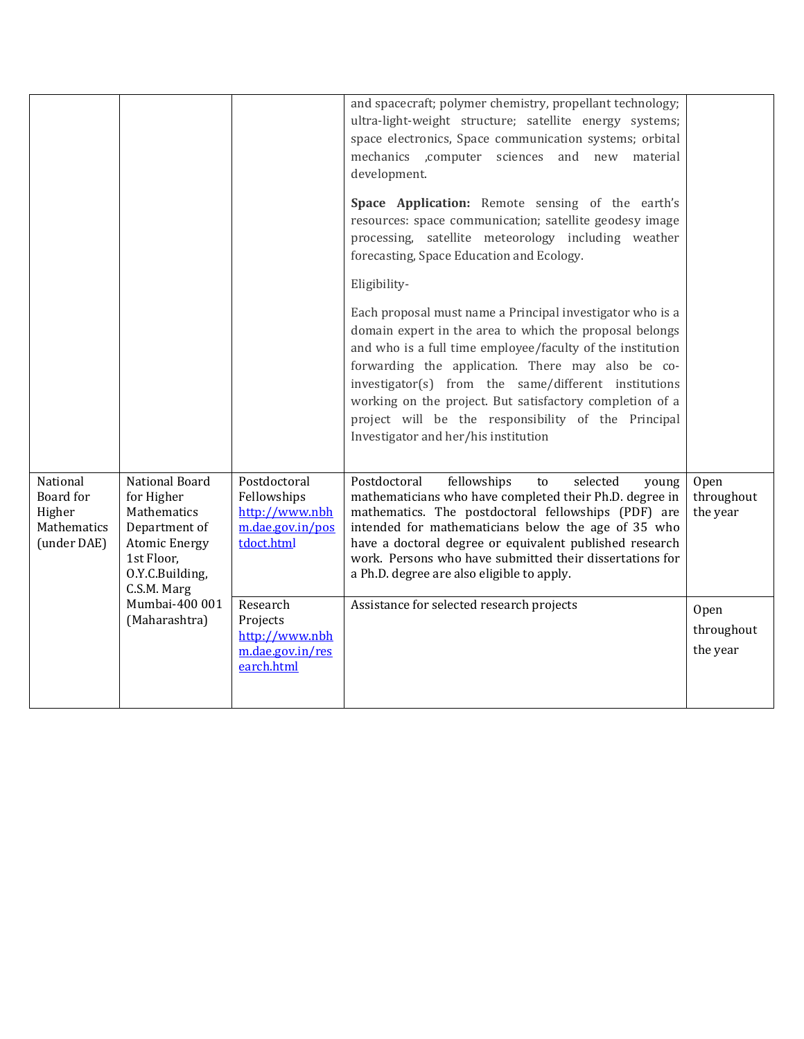|                                                               |                                                                                                                                      |                                                                                 | and spacecraft; polymer chemistry, propellant technology;<br>ultra-light-weight structure; satellite energy systems;<br>space electronics, Space communication systems; orbital<br>mechanics ,computer sciences and new material<br>development.<br>Space Application: Remote sensing of the earth's<br>resources: space communication; satellite geodesy image<br>processing, satellite meteorology including weather<br>forecasting, Space Education and Ecology. |                                |
|---------------------------------------------------------------|--------------------------------------------------------------------------------------------------------------------------------------|---------------------------------------------------------------------------------|---------------------------------------------------------------------------------------------------------------------------------------------------------------------------------------------------------------------------------------------------------------------------------------------------------------------------------------------------------------------------------------------------------------------------------------------------------------------|--------------------------------|
|                                                               |                                                                                                                                      |                                                                                 | Eligibility-                                                                                                                                                                                                                                                                                                                                                                                                                                                        |                                |
|                                                               |                                                                                                                                      |                                                                                 | Each proposal must name a Principal investigator who is a<br>domain expert in the area to which the proposal belongs<br>and who is a full time employee/faculty of the institution<br>forwarding the application. There may also be co-<br>investigator(s) from the same/different institutions<br>working on the project. But satisfactory completion of a<br>project will be the responsibility of the Principal<br>Investigator and her/his institution          |                                |
| National<br>Board for<br>Higher<br>Mathematics<br>(under DAE) | National Board<br>for Higher<br>Mathematics<br>Department of<br><b>Atomic Energy</b><br>1st Floor,<br>O.Y.C.Building,<br>C.S.M. Marg | Postdoctoral<br>Fellowships<br>http://www.nbh<br>m.dae.gov.in/pos<br>tdoct.html | Postdoctoral<br>fellowships<br>selected<br>to<br>young<br>mathematicians who have completed their Ph.D. degree in<br>mathematics. The postdoctoral fellowships (PDF) are<br>intended for mathematicians below the age of 35 who<br>have a doctoral degree or equivalent published research<br>work. Persons who have submitted their dissertations for<br>a Ph.D. degree are also eligible to apply.                                                                | Open<br>throughout<br>the year |
|                                                               | Mumbai-400 001<br>(Maharashtra)                                                                                                      | Research<br>Projects<br>http://www.nbh<br>m.dae.gov.in/res<br>earch.html        | Assistance for selected research projects                                                                                                                                                                                                                                                                                                                                                                                                                           | Open<br>throughout<br>the year |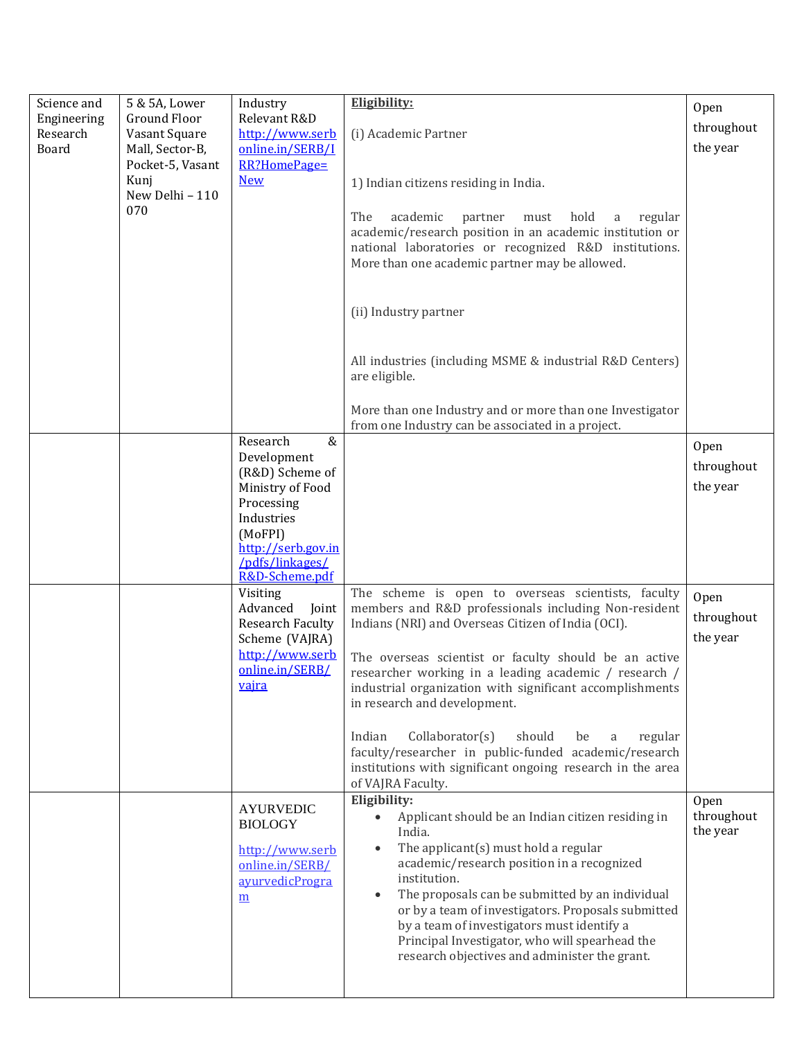| Science and<br>Engineering<br>Research<br>Board | 5 & 5A, Lower<br>Ground Floor<br>Vasant Square<br>Mall, Sector-B,<br>Pocket-5, Vasant<br>Kunj<br>New Delhi - 110<br>070 | Industry<br>Relevant R&D<br>http://www.serb<br>online.in/SERB/I<br>RR?HomePage=<br><b>New</b>                                                                            | Eligibility:<br>(i) Academic Partner<br>1) Indian citizens residing in India.<br>The<br>academic<br>hold<br>partner<br>must<br>regular<br>a<br>academic/research position in an academic institution or<br>national laboratories or recognized R&D institutions.<br>More than one academic partner may be allowed.<br>(ii) Industry partner<br>All industries (including MSME & industrial R&D Centers)<br>are eligible.<br>More than one Industry and or more than one Investigator                                                                                                    | Open<br>throughout<br>the year |
|-------------------------------------------------|-------------------------------------------------------------------------------------------------------------------------|--------------------------------------------------------------------------------------------------------------------------------------------------------------------------|-----------------------------------------------------------------------------------------------------------------------------------------------------------------------------------------------------------------------------------------------------------------------------------------------------------------------------------------------------------------------------------------------------------------------------------------------------------------------------------------------------------------------------------------------------------------------------------------|--------------------------------|
|                                                 |                                                                                                                         | $\&$<br>Research<br>Development<br>(R&D) Scheme of<br>Ministry of Food<br>Processing<br>Industries<br>(MoFPI)<br>http://serb.gov.in<br>/pdfs/linkages/<br>R&D-Scheme.pdf | from one Industry can be associated in a project.                                                                                                                                                                                                                                                                                                                                                                                                                                                                                                                                       | Open<br>throughout<br>the year |
|                                                 |                                                                                                                         | Visiting<br>Advanced<br>Joint<br><b>Research Faculty</b><br>Scheme (VAJRA)<br>http://www.serb<br>online.in/SERB/<br><u>vajra</u>                                         | The scheme is open to overseas scientists, faculty<br>members and R&D professionals including Non-resident<br>Indians (NRI) and Overseas Citizen of India (OCI).<br>The overseas scientist or faculty should be an active<br>researcher working in a leading academic / research /<br>industrial organization with significant accomplishments<br>in research and development.<br>Collaborator(s)<br>Indian<br>should<br>regular<br>be<br>a<br>faculty/researcher in public-funded academic/research<br>institutions with significant ongoing research in the area<br>of VAJRA Faculty. | Open<br>throughout<br>the year |
|                                                 |                                                                                                                         | <b>AYURVEDIC</b><br><b>BIOLOGY</b><br>http://www.serb<br>online.in/SERB/<br>ayurvedicProgra<br>$\underline{m}$                                                           | Eligibility:<br>Applicant should be an Indian citizen residing in<br>$\bullet$<br>India.<br>The applicant $(s)$ must hold a regular<br>academic/research position in a recognized<br>institution.<br>The proposals can be submitted by an individual<br>or by a team of investigators. Proposals submitted<br>by a team of investigators must identify a<br>Principal Investigator, who will spearhead the<br>research objectives and administer the grant.                                                                                                                             | Open<br>throughout<br>the year |